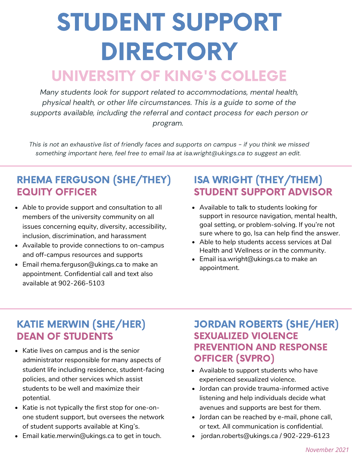# STUDENT SUPPORT DIRECTORY UNIVERSITY OF KING'S COLLEGE

*Many students look for support related to accommodations, mental health, physical health, or other life circumstances. This is a guide to some of the supports available, including the referral and contact process for each person or program.*

This is not an exhaustive list of friendly faces and supports on campus - if you think we missed *something important here, feel free to email Isa at isa.wright@ukings.ca to suggest an edit.*

## RHEMA FERGUSON (SHE/THEY) EQUITY OFFICER

- Able to provide support and consultation to all members of the university community on all issues concerning equity, diversity, accessibility, inclusion, discrimination, and harassment
- Available to provide connections to on-campus and off-campus resources and supports
- Email [rhema.ferguson@ukings.ca](mailto:rhema.ferguson@ukings.ca) to make an appointment. Confidential call and text also available at 902-266-5103

## ISA WRIGHT (THEY/THEM) STUDENT SUPPORT ADVISOR

- Available to talk to students looking for support in resource navigation, mental health, goal setting, or problem-solving. If you're not sure where to go, Isa can help find the answer.
- Able to help students access services at Dal Health and Wellness or in the community.
- Email isa.wright@ukings.ca to make an appointment.

## KATIE MERWIN (SHE/HER) DEAN OF STUDENTS

- Katie lives on campus and is the senior administrator responsible for many aspects of student life including residence, student-facing policies, and other services which assist students to be well and maximize their potential.
- Katie is not typically the first stop for one-onone student support, but oversees the network of student supports available at King's.
- Email [katie.merwin@ukings.ca](mailto:katie.merwin@ukings.ca) to get in touch.

## JORDAN ROBERTS (SHE/HER) SEXUALIZED VIOLENCE PREVENTION AND RESPONSE OFFICER (SVPRO)

- Available to support students who have experienced sexualized violence.
- Jordan can provide trauma-informed active listening and help individuals decide what avenues and supports are best for them.
- Jordan can be reached by e-mail, phone call, or text. All communication is confidential.
- jordan.roberts@ukings.ca / 902-229-6123